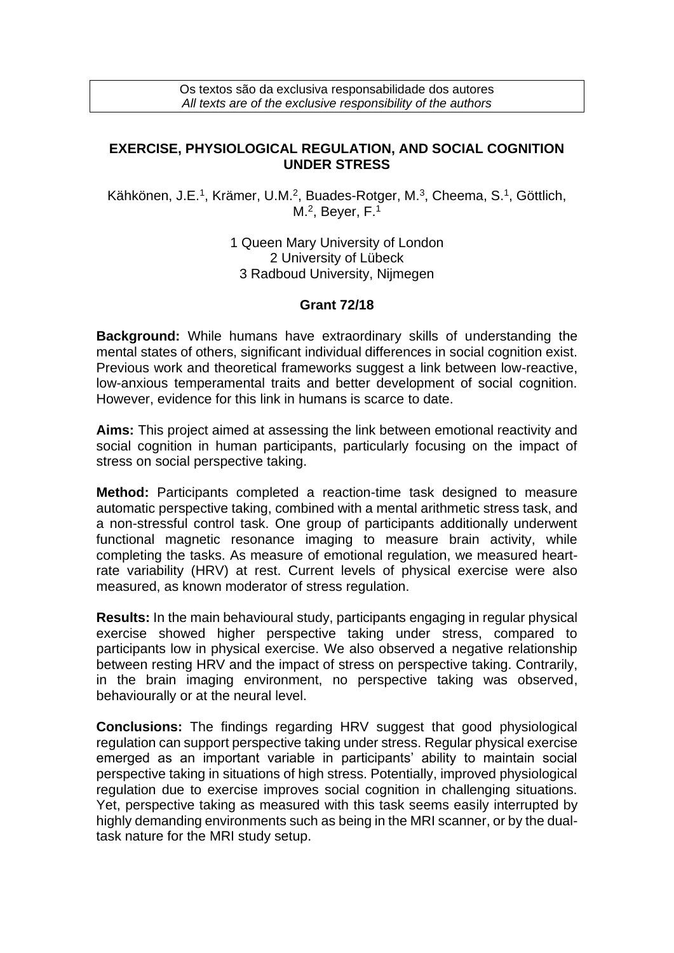Os textos são da exclusiva responsabilidade dos autores *All texts are of the exclusive responsibility of the authors*

## **EXERCISE, PHYSIOLOGICAL REGULATION, AND SOCIAL COGNITION UNDER STRESS**

Kähkönen, J.E.<sup>1</sup>, Krämer, U.M.<sup>2</sup>, Buades-Rotger, M.<sup>3</sup>, Cheema, S.<sup>1</sup>, Göttlich, M.<sup>2</sup>, Beyer, F.<sup>1</sup>

> 1 Queen Mary University of London 2 University of Lübeck 3 Radboud University, Nijmegen

## **Grant 72/18**

**Background:** While humans have extraordinary skills of understanding the mental states of others, significant individual differences in social cognition exist. Previous work and theoretical frameworks suggest a link between low-reactive, low-anxious temperamental traits and better development of social cognition. However, evidence for this link in humans is scarce to date.

**Aims:** This project aimed at assessing the link between emotional reactivity and social cognition in human participants, particularly focusing on the impact of stress on social perspective taking.

**Method:** Participants completed a reaction-time task designed to measure automatic perspective taking, combined with a mental arithmetic stress task, and a non-stressful control task. One group of participants additionally underwent functional magnetic resonance imaging to measure brain activity, while completing the tasks. As measure of emotional regulation, we measured heartrate variability (HRV) at rest. Current levels of physical exercise were also measured, as known moderator of stress regulation.

**Results:** In the main behavioural study, participants engaging in regular physical exercise showed higher perspective taking under stress, compared to participants low in physical exercise. We also observed a negative relationship between resting HRV and the impact of stress on perspective taking. Contrarily, in the brain imaging environment, no perspective taking was observed, behaviourally or at the neural level.

**Conclusions:** The findings regarding HRV suggest that good physiological regulation can support perspective taking under stress. Regular physical exercise emerged as an important variable in participants' ability to maintain social perspective taking in situations of high stress. Potentially, improved physiological regulation due to exercise improves social cognition in challenging situations. Yet, perspective taking as measured with this task seems easily interrupted by highly demanding environments such as being in the MRI scanner, or by the dualtask nature for the MRI study setup.